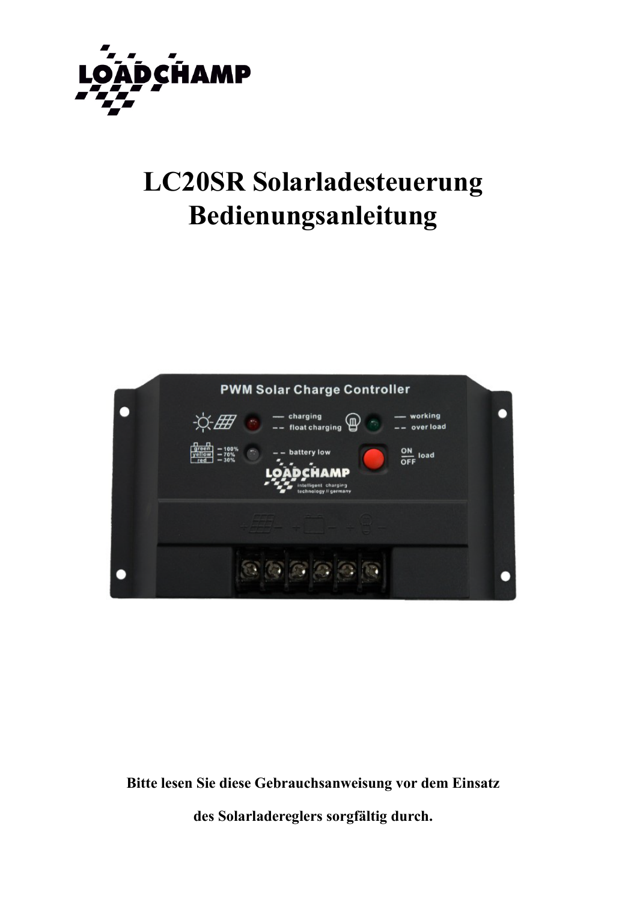

# **LC20SR Solarladesteuerung** Bedienungsanleitung



Bitte lesen Sie diese Gebrauchsanweisung vor dem Einsatz

des Solarladereglers sorgfältig durch.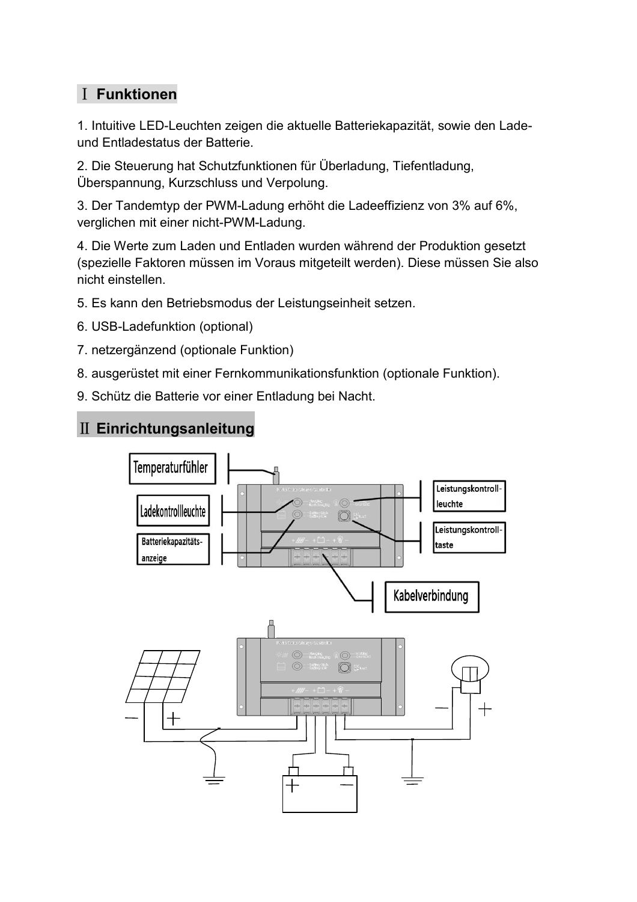# I Funktionen

1. Intuitive LED-Leuchten zeigen die aktuelle Batteriekapazität, sowie den Ladeund Entladestatus der Batterie.

2. Die Steuerung hat Schutzfunktionen für Überladung, Tiefentladung, Überspannung, Kurzschluss und Verpolung.

3. Der Tandemtyp der PWM-Ladung erhöht die Ladeeffizienz von 3% auf 6%, verglichen mit einer nicht-PWM-Ladung.

4. Die Werte zum Laden und Entladen wurden während der Produktion gesetzt (spezielle Faktoren müssen im Voraus mitgeteilt werden). Diese müssen Sie also nicht einstellen.

5. Es kann den Betriebsmodus der Leistungseinheit setzen.

- 6. USB-Ladefunktion (optional)
- 7. netzergänzend (optionale Funktion)
- 8. ausgerüstet mit einer Fernkommunikationsfunktion (optionale Funktion).
- 9. Schütz die Batterie vor einer Entladung bei Nacht.

## II Einrichtungsanleitung

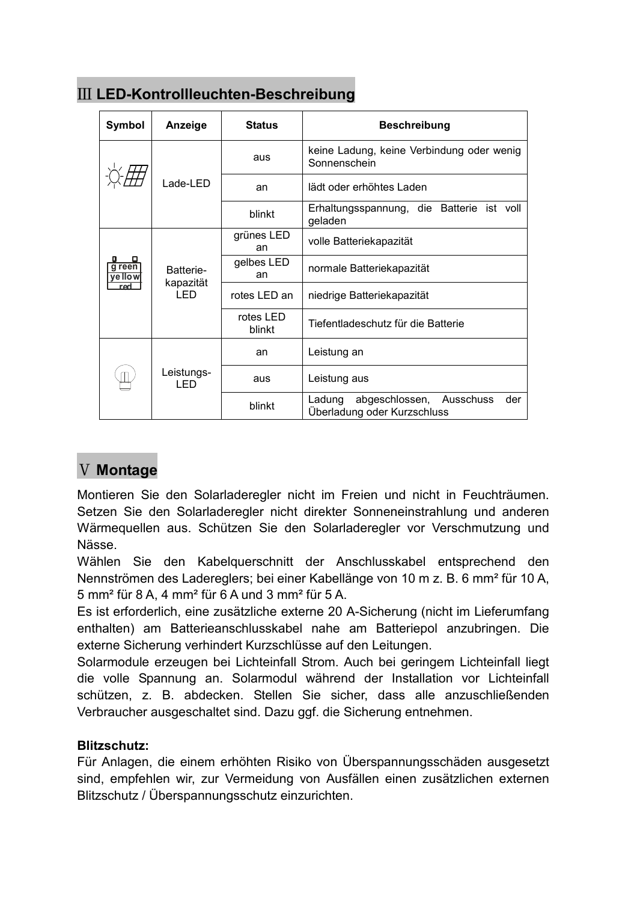| Symbol                   | Anzeige                        | <b>Status</b>       | <b>Beschreibung</b>                                                         |  |
|--------------------------|--------------------------------|---------------------|-----------------------------------------------------------------------------|--|
|                          | Lade-LED                       | aus                 | keine Ladung, keine Verbindung oder wenig<br>Sonnenschein                   |  |
|                          |                                | an                  | lädt oder erhöhtes Laden                                                    |  |
|                          |                                | blinkt              | Erhaltungsspannung, die Batterie<br>ist voll<br>geladen                     |  |
| g reen<br>ye llow<br>red | Batterie-<br>kapazität<br>LED. | grünes LED<br>an    | volle Batteriekapazität                                                     |  |
|                          |                                | gelbes LED<br>an    | normale Batteriekapazität                                                   |  |
|                          |                                | rotes LED an        | niedrige Batteriekapazität                                                  |  |
|                          |                                | rotes LED<br>blinkt | Tiefentladeschutz für die Batterie                                          |  |
|                          | Leistungs-<br>I ED             | an                  | Leistung an                                                                 |  |
|                          |                                | aus                 | Leistung aus                                                                |  |
|                          |                                | blinkt              | abgeschlossen,<br>der<br>Ladung<br>Ausschuss<br>Überladung oder Kurzschluss |  |

## III LED-Kontrollleuchten-Beschreibung

# **V** Montage

Montieren Sie den Solarladeregler nicht im Freien und nicht in Feuchträumen. Setzen Sie den Solarladeregler nicht direkter Sonneneinstrahlung und anderen Wärmequellen aus. Schützen Sie den Solarladeregler vor Verschmutzung und Nässe

Wählen Sie den Kabelguerschnitt der Anschlusskabel entsprechend den Nennströmen des Ladereglers; bei einer Kabellänge von 10 m z. B. 6 mm<sup>2</sup> für 10 A, 5 mm<sup>2</sup> für 8 A, 4 mm<sup>2</sup> für 6 A und 3 mm<sup>2</sup> für 5 A.

Es ist erforderlich, eine zusätzliche externe 20 A-Sicherung (nicht im Lieferumfang enthalten) am Batterieanschlusskabel nahe am Batteriepol anzubringen. Die externe Sicherung verhindert Kurzschlüsse auf den Leitungen.

Solarmodule erzeugen bei Lichteinfall Strom. Auch bei geringem Lichteinfall liegt die volle Spannung an. Solarmodul während der Installation vor Lichteinfall schützen, z. B. abdecken. Stellen Sie sicher, dass alle anzuschließenden Verbraucher ausgeschaltet sind. Dazu ggf. die Sicherung entnehmen.

### Blitzschutz:

Für Anlagen, die einem erhöhten Risiko von Überspannungsschäden ausgesetzt sind, empfehlen wir, zur Vermeidung von Ausfällen einen zusätzlichen externen Blitzschutz / Überspannungsschutz einzurichten.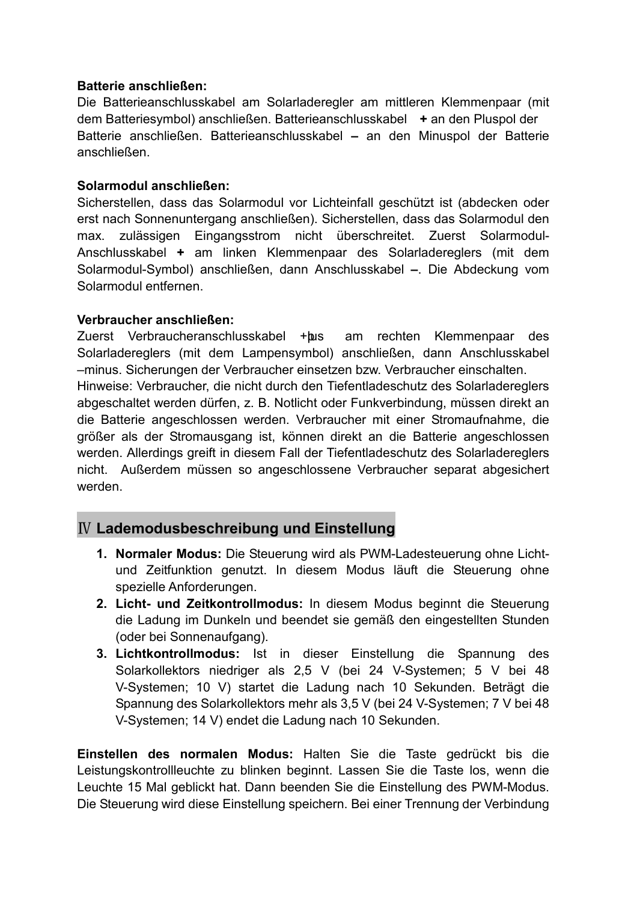#### Batterie anschließen:

Die Batterieanschlusskabel am Solarladeregler am mittleren Klemmenpaar (mit dem Batteriesymbol) anschließen. Batterieanschlusskabel + an den Pluspol der Batterie anschließen. Batterieanschlusskabel – an den Minuspol der Batterie anschließen.

#### Solarmodul anschließen:

Sicherstellen, dass das Solarmodul vor Lichteinfall geschützt ist (abdecken oder erst nach Sonnenuntergang anschließen). Sicherstellen, dass das Solarmodul den max. zulässigen Eingangsstrom nicht überschreitet. Zuerst Solarmodul-Anschlusskabel + am linken Klemmenpaar des Solarladereglers (mit dem Solarmodul-Symbol) anschließen, dann Anschlusskabel - Die Abdeckung vom Solarmodul entfernen.

#### Verbraucher anschließen:

Zuerst Verbraucheranschlusskabel + bus am rechten Klemmenpaar des Solarladereglers (mit dem Lampensymbol) anschließen, dann Anschlusskabel -minus. Sicherungen der Verbraucher einsetzen bzw. Verbraucher einschalten. Hinweise: Verbraucher, die nicht durch den Tiefentladeschutz des Solarladereglers abgeschaltet werden dürfen, z. B. Notlicht oder Funkverbindung, müssen direkt an die Batterie angeschlossen werden. Verbraucher mit einer Stromaufnahme, die größer als der Stromausgang ist, können direkt an die Batterie angeschlossen werden. Allerdings greift in diesem Fall der Tiefentladeschutz des Solarladereglers nicht. Außerdem müssen so angeschlossene Verbraucher separat abgesichert werden.

## **IV Lademodusbeschreibung und Einstellung**

- 1. Normaler Modus: Die Steuerung wird als PWM-Ladesteuerung ohne Lichtund Zeitfunktion genutzt. In diesem Modus läuft die Steuerung ohne spezielle Anforderungen.
- 2. Licht- und Zeitkontrollmodus: In diesem Modus beginnt die Steuerung die Ladung im Dunkeln und beendet sie gemäß den eingestellten Stunden (oder bei Sonnenaufgang).
- 3. Lichtkontrollmodus: Ist in dieser Einstellung die Spannung des Solarkollektors niedriger als 2,5 V (bei 24 V-Systemen; 5 V bei 48 V-Systemen; 10 V) startet die Ladung nach 10 Sekunden. Beträgt die Spannung des Solarkollektors mehr als 3,5 V (bei 24 V-Systemen; 7 V bei 48 V-Systemen; 14 V) endet die Ladung nach 10 Sekunden.

Einstellen des normalen Modus: Halten Sie die Taste gedrückt bis die Leistungskontrollleuchte zu blinken beginnt. Lassen Sie die Taste los, wenn die Leuchte 15 Mal geblickt hat. Dann beenden Sie die Einstellung des PWM-Modus. Die Steuerung wird diese Einstellung speichern. Bei einer Trennung der Verbindung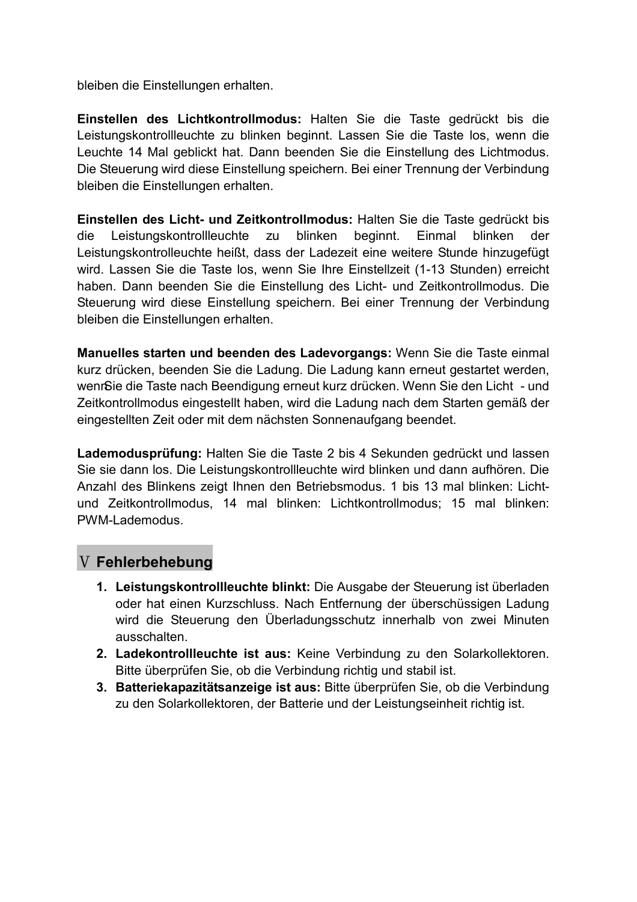bleiben die Einstellungen erhalten.

Einstellen des Lichtkontrollmodus: Halten Sie die Taste gedrückt bis die Leistungskontrollleuchte zu blinken beginnt. Lassen Sie die Taste los, wenn die Leuchte 14 Mal geblickt hat. Dann beenden Sie die Einstellung des Lichtmodus. Die Steuerung wird diese Einstellung speichern. Bei einer Trennung der Verbindung bleiben die Einstellungen erhalten.

Einstellen des Licht- und Zeitkontrollmodus: Halten Sie die Taste gedrückt bis Leistungskontrollleuchte zu blinken beginnt. Einmal blinken die der Leistungskontrolleuchte heißt, dass der Ladezeit eine weitere Stunde hinzugefügt wird. Lassen Sie die Taste los, wenn Sie Ihre Einstellzeit (1-13 Stunden) erreicht haben. Dann beenden Sie die Einstellung des Licht- und Zeitkontrollmodus. Die Steuerung wird diese Einstellung speichern. Bei einer Trennung der Verbindung bleiben die Einstellungen erhalten.

Manuelles starten und beenden des Ladevorgangs: Wenn Sie die Taste einmal kurz drücken, beenden Sie die Ladung. Die Ladung kann erneut gestartet werden, wenrSie die Taste nach Beendigung erneut kurz drücken. Wenn Sie den Licht - und Zeitkontrollmodus eingestellt haben, wird die Ladung nach dem Starten gemäß der eingestellten Zeit oder mit dem nächsten Sonnenaufgang beendet.

Lademodusprüfung: Halten Sie die Taste 2 bis 4 Sekunden gedrückt und lassen Sie sie dann los. Die Leistungskontrollleuchte wird blinken und dann aufhören. Die Anzahl des Blinkens zeigt Ihnen den Betriebsmodus. 1 bis 13 mal blinken: Lichtund Zeitkontrollmodus, 14 mal blinken: Lichtkontrollmodus; 15 mal blinken: PWM-Lademodus.

## V Fehlerbehebung

- 1. Leistungskontrollleuchte blinkt: Die Ausgabe der Steuerung ist überladen oder hat einen Kurzschluss. Nach Entfernung der überschüssigen Ladung wird die Steuerung den Überladungsschutz innerhalb von zwei Minuten ausschalten.
- 2. Ladekontrollleuchte ist aus: Keine Verbindung zu den Solarkollektoren. Bitte überprüfen Sie, ob die Verbindung richtig und stabil ist.
- 3. Batteriekapazitätsanzeige ist aus: Bitte überprüfen Sie, ob die Verbindung zu den Solarkollektoren, der Batterie und der Leistungseinheit richtig ist.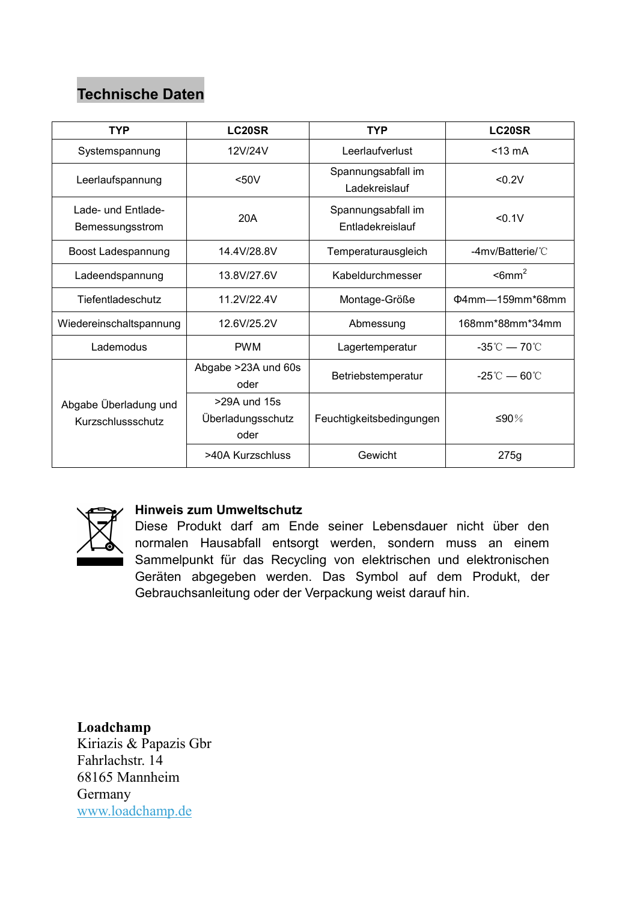# **Technische Daten**

| <b>TYP</b>                                 | LC <sub>20</sub> SR                       | <b>TYP</b>                             | <b>LC20SR</b>                              |
|--------------------------------------------|-------------------------------------------|----------------------------------------|--------------------------------------------|
| Systemspannung                             | 12V/24V                                   | Leerlaufverlust                        | $<$ 13 $mA$                                |
| Leerlaufspannung                           | $50V$                                     | Spannungsabfall im<br>Ladekreislauf    | < 0.2V                                     |
| Lade- und Entlade-<br>Bemessungsstrom      | 20A                                       | Spannungsabfall im<br>Entladekreislauf | < 0.1V                                     |
| Boost Ladespannung                         | 14.4V/28.8V                               | Temperaturausgleich                    | $-4$ mv/Batterie/ $°C$                     |
| Ladeendspannung                            | 13.8V/27.6V                               | Kabeldurchmesser                       | $\epsilon$ 6mm <sup>2</sup>                |
| Tiefentladeschutz                          | 11.2V/22.4V                               | Montage-Größe                          | Φ4mm-159mm*68mm                            |
| Wiedereinschaltspannung                    | 12.6V/25.2V                               | Abmessung                              | 168mm*88mm*34mm                            |
| Lademodus                                  | <b>PWM</b>                                | Lagertemperatur                        | $-35^{\circ}\text{C} - 70^{\circ}\text{C}$ |
|                                            | Abgabe >23A und 60s<br>oder               | Betriebstemperatur                     | $-25^{\circ}\text{C} - 60^{\circ}\text{C}$ |
| Abgabe Überladung und<br>Kurzschlussschutz | >29A und 15s<br>Überladungsschutz<br>oder | Feuchtigkeitsbedingungen               | ≤90%                                       |
|                                            | >40A Kurzschluss                          | Gewicht                                | 275g                                       |



#### **Hinweis zum Umweltschutz**

Diese Produkt darf am Ende seiner Lebensdauer nicht über den normalen Hausabfall entsorgt werden, sondern muss an einem Sammelpunkt für das Recycling von elektrischen und elektronischen Geräten abgegeben werden. Das Symbol auf dem Produkt, der Gebrauchsanleitung oder der Verpackung weist darauf hin.

Loadchamp Kiriazis & Papazis Gbr Fahrlachstr 14 68165 Mannheim Germany www.loadchamp.de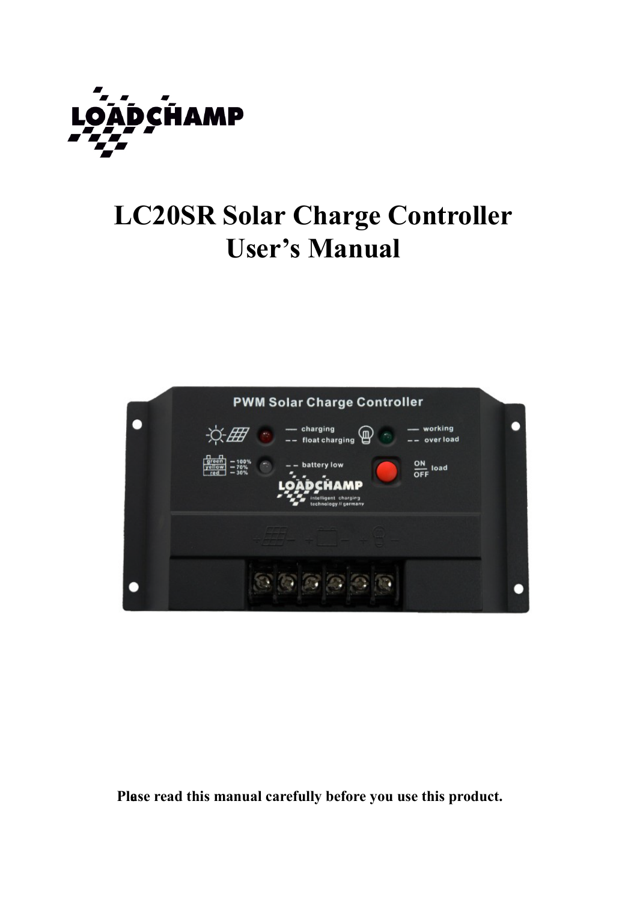

# **LC20SR Solar Charge Controller User's Manual**



Plase read this manual carefully before you use this product.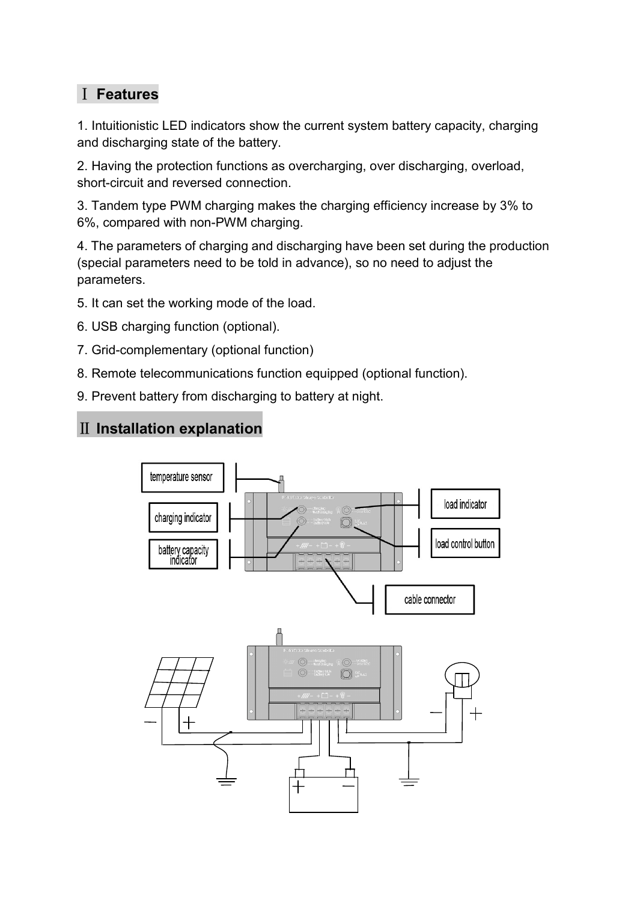## I Features

1. Intuitionistic LED indicators show the current system battery capacity, charging and discharging state of the battery.

2. Having the protection functions as overcharging, over discharging, overload, short-circuit and reversed connection.

3. Tandem type PWM charging makes the charging efficiency increase by 3% to 6%, compared with non-PWM charging.

4. The parameters of charging and discharging have been set during the production (special parameters need to be told in advance), so no need to adjust the parameters.

5. It can set the working mode of the load.

- 6. USB charging function (optional).
- 7. Grid-complementary (optional function)
- 8. Remote telecommunications function equipped (optional function).
- 9. Prevent battery from discharging to battery at night.

## II Installation explanation

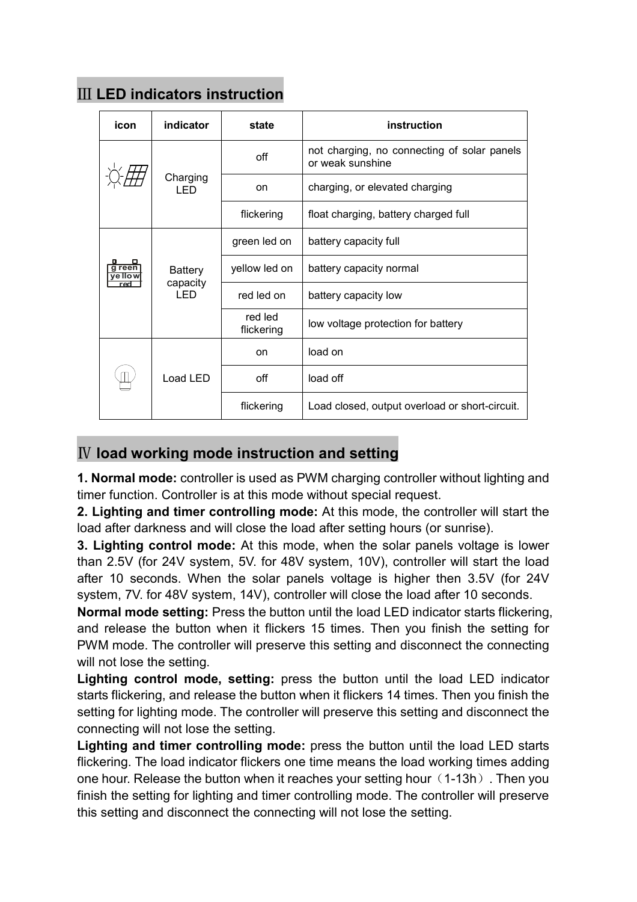| icon            | indicator                          | state                 | instruction                                                     |  |
|-----------------|------------------------------------|-----------------------|-----------------------------------------------------------------|--|
|                 | Charging<br>I FD                   | off                   | not charging, no connecting of solar panels<br>or weak sunshine |  |
|                 |                                    | on                    | charging, or elevated charging                                  |  |
|                 |                                    | flickering            | float charging, battery charged full                            |  |
| reer<br>ve llow | <b>Battery</b><br>capacity<br>I ED | green led on          | battery capacity full                                           |  |
|                 |                                    | yellow led on         | battery capacity normal                                         |  |
|                 |                                    | red led on            | battery capacity low                                            |  |
|                 |                                    | red led<br>flickering | low voltage protection for battery                              |  |
|                 | Load LED                           | <sub>on</sub>         | load on                                                         |  |
|                 |                                    | off                   | load off                                                        |  |
|                 |                                    | flickering            | Load closed, output overload or short-circuit.                  |  |

# **III LED indicators instruction**

## IV load working mode instruction and setting

1. Normal mode: controller is used as PWM charging controller without lighting and timer function. Controller is at this mode without special request.

2. Lighting and timer controlling mode: At this mode, the controller will start the load after darkness and will close the load after setting hours (or sunrise).

3. Lighting control mode: At this mode, when the solar panels voltage is lower than 2.5V (for 24V system, 5V. for 48V system, 10V), controller will start the load after 10 seconds. When the solar panels voltage is higher then 3.5V (for 24V system, 7V. for 48V system, 14V), controller will close the load after 10 seconds.

Normal mode setting: Press the button until the load LED indicator starts flickering, and release the button when it flickers 15 times. Then you finish the setting for PWM mode. The controller will preserve this setting and disconnect the connecting will not lose the setting.

Lighting control mode, setting: press the button until the load LED indicator starts flickering, and release the button when it flickers 14 times. Then you finish the setting for lighting mode. The controller will preserve this setting and disconnect the connecting will not lose the setting.

Lighting and timer controlling mode: press the button until the load LED starts flickering. The load indicator flickers one time means the load working times adding one hour. Release the button when it reaches your setting hour (1-13h). Then you finish the setting for lighting and timer controlling mode. The controller will preserve this setting and disconnect the connecting will not lose the setting.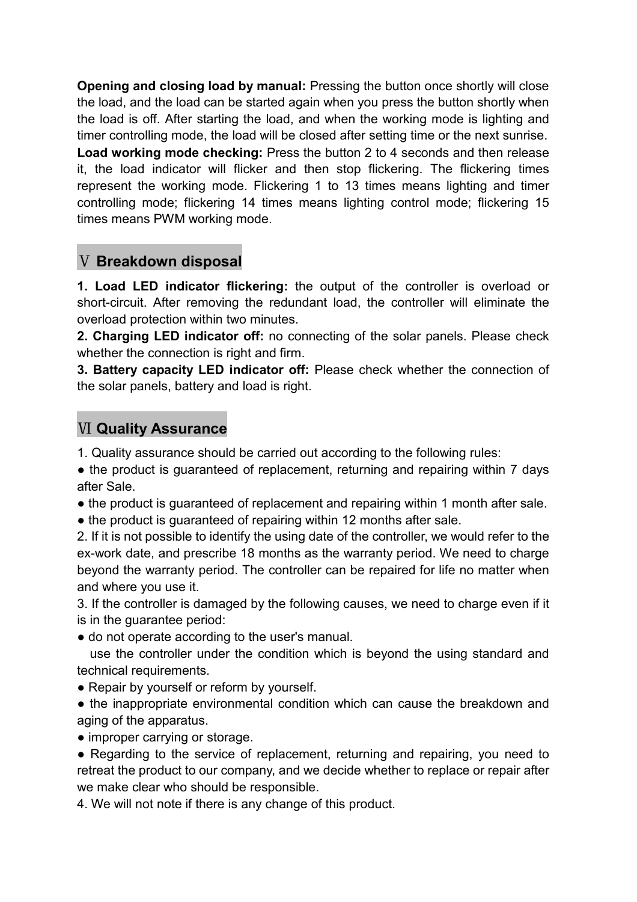Opening and closing load by manual: Pressing the button once shortly will close the load, and the load can be started again when you press the button shortly when the load is off. After starting the load, and when the working mode is lighting and timer controlling mode, the load will be closed after setting time or the next sunrise.

Load working mode checking: Press the button 2 to 4 seconds and then release it, the load indicator will flicker and then stop flickering. The flickering times represent the working mode. Flickering 1 to 13 times means lighting and timer controlling mode; flickering 14 times means lighting control mode; flickering 15 times means PWM working mode.

## V Breakdown disposal

1. Load LED indicator flickering: the output of the controller is overload or short-circuit. After removing the redundant load, the controller will eliminate the overload protection within two minutes.

2. Charging LED indicator off: no connecting of the solar panels. Please check whether the connection is right and firm.

3. Battery capacity LED indicator off: Please check whether the connection of the solar panels, battery and load is right.

## **VI Quality Assurance**

1. Quality assurance should be carried out according to the following rules:

• the product is guaranteed of replacement, returning and repairing within 7 days after Sale

- the product is guaranteed of replacement and repairing within 1 month after sale.
- the product is guaranteed of repairing within 12 months after sale.

2. If it is not possible to identify the using date of the controller, we would refer to the ex-work date, and prescribe 18 months as the warranty period. We need to charge beyond the warranty period. The controller can be repaired for life no matter when and where you use it.

3. If the controller is damaged by the following causes, we need to charge even if it is in the quarantee period:

• do not operate according to the user's manual.

use the controller under the condition which is beyond the using standard and technical requirements.

• Repair by yourself or reform by yourself.

• the inappropriate environmental condition which can cause the breakdown and aging of the apparatus.

• improper carrying or storage.

• Regarding to the service of replacement, returning and repairing, you need to retreat the product to our company, and we decide whether to replace or repair after we make clear who should be responsible.

4. We will not note if there is any change of this product.